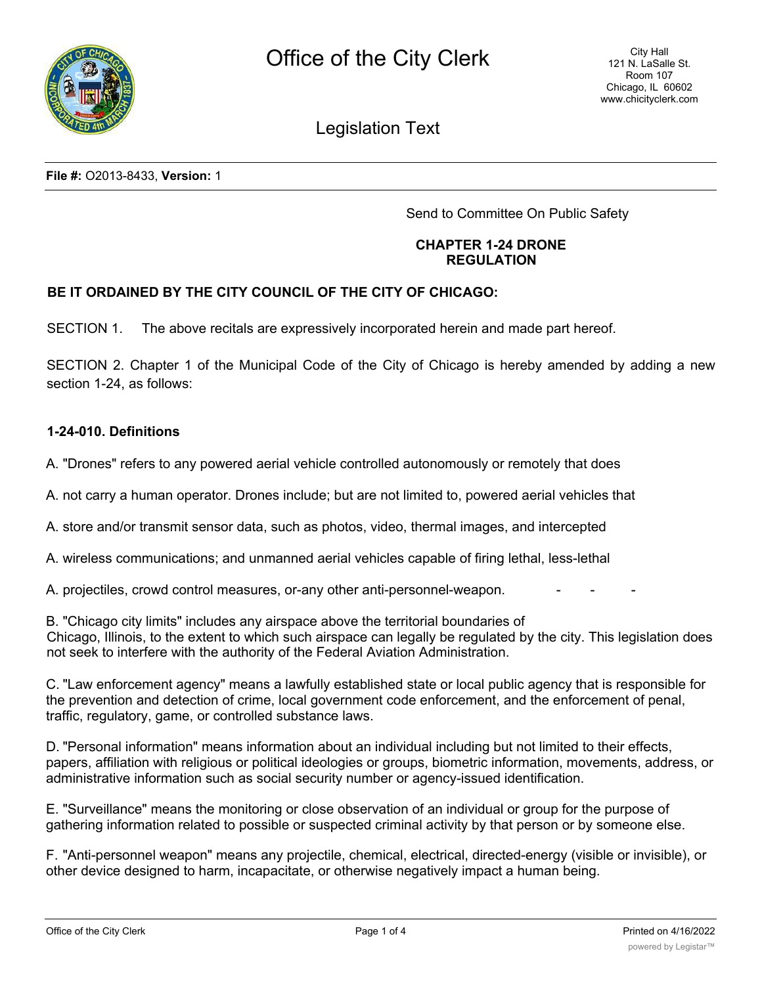

# Legislation Text

**File #:** O2013-8433, **Version:** 1

Send to Committee On Public Safety

## **CHAPTER 1-24 DRONE REGULATION**

# **BE IT ORDAINED BY THE CITY COUNCIL OF THE CITY OF CHICAGO:**

SECTION 1. The above recitals are expressively incorporated herein and made part hereof.

SECTION 2. Chapter 1 of the Municipal Code of the City of Chicago is hereby amended by adding a new section 1-24, as follows:

## **1-24-010. Definitions**

A. "Drones" refers to any powered aerial vehicle controlled autonomously or remotely that does

A. not carry a human operator. Drones include; but are not limited to, powered aerial vehicles that

A. store and/or transmit sensor data, such as photos, video, thermal images, and intercepted

A. wireless communications; and unmanned aerial vehicles capable of firing lethal, less-lethal

A. projectiles, crowd control measures, or-any other anti-personnel-weapon.

B. "Chicago city limits" includes any airspace above the territorial boundaries of Chicago, Illinois, to the extent to which such airspace can legally be regulated by the city. This legislation does not seek to interfere with the authority of the Federal Aviation Administration.

C. "Law enforcement agency" means a lawfully established state or local public agency that is responsible for the prevention and detection of crime, local government code enforcement, and the enforcement of penal, traffic, regulatory, game, or controlled substance laws.

D. "Personal information" means information about an individual including but not limited to their effects, papers, affiliation with religious or political ideologies or groups, biometric information, movements, address, or administrative information such as social security number or agency-issued identification.

E. "Surveillance" means the monitoring or close observation of an individual or group for the purpose of gathering information related to possible or suspected criminal activity by that person or by someone else.

F. "Anti-personnel weapon" means any projectile, chemical, electrical, directed-energy (visible or invisible), or other device designed to harm, incapacitate, or otherwise negatively impact a human being.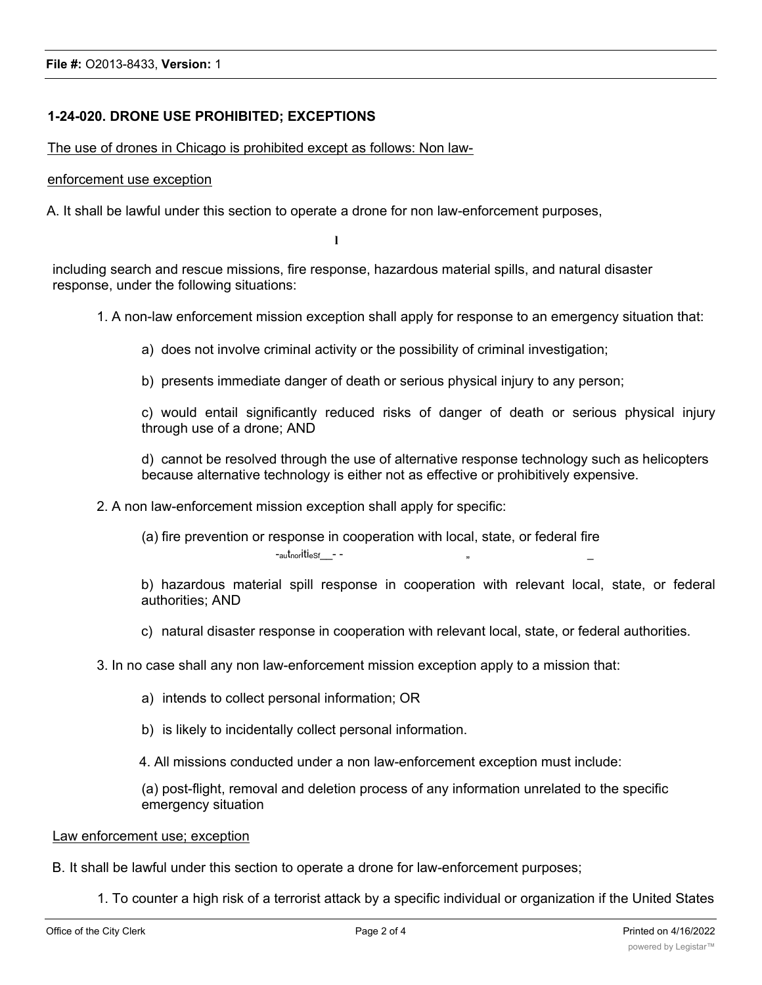# **1-24-020. DRONE USE PROHIBITED; EXCEPTIONS**

The use of drones in Chicago is prohibited except as follows: Non law-

#### enforcement use exception

A. It shall be lawful under this section to operate a drone for non law-enforcement purposes,

**l**

including search and rescue missions, fire response, hazardous material spills, and natural disaster response, under the following situations:

- 1. A non-law enforcement mission exception shall apply for response to an emergency situation that:
	- a) does not involve criminal activity or the possibility of criminal investigation;
	- b) presents immediate danger of death or serious physical injury to any person;

c) would entail significantly reduced risks of danger of death or serious physical injury through use of a drone; AND

d) cannot be resolved through the use of alternative response technology such as helicopters because alternative technology is either not as effective or prohibitively expensive.

2. A non law-enforcement mission exception shall apply for specific:

(a) fire prevention or response in cooperation with local, state, or federal fire  $-$ <sub>au</sub>t<sub>nor</sub>iti<sub>eSf</sub> $-$  -

b) hazardous material spill response in cooperation with relevant local, state, or federal authorities; AND

- c) natural disaster response in cooperation with relevant local, state, or federal authorities.
- 3. In no case shall any non law-enforcement mission exception apply to a mission that:
	- a) intends to collect personal information; OR
	- b) is likely to incidentally collect personal information.

4. All missions conducted under a non law-enforcement exception must include:

(a) post-flight, removal and deletion process of any information unrelated to the specific emergency situation

#### Law enforcement use; exception

- B. It shall be lawful under this section to operate a drone for law-enforcement purposes;
	- 1. To counter a high risk of a terrorist attack by a specific individual or organization if the United States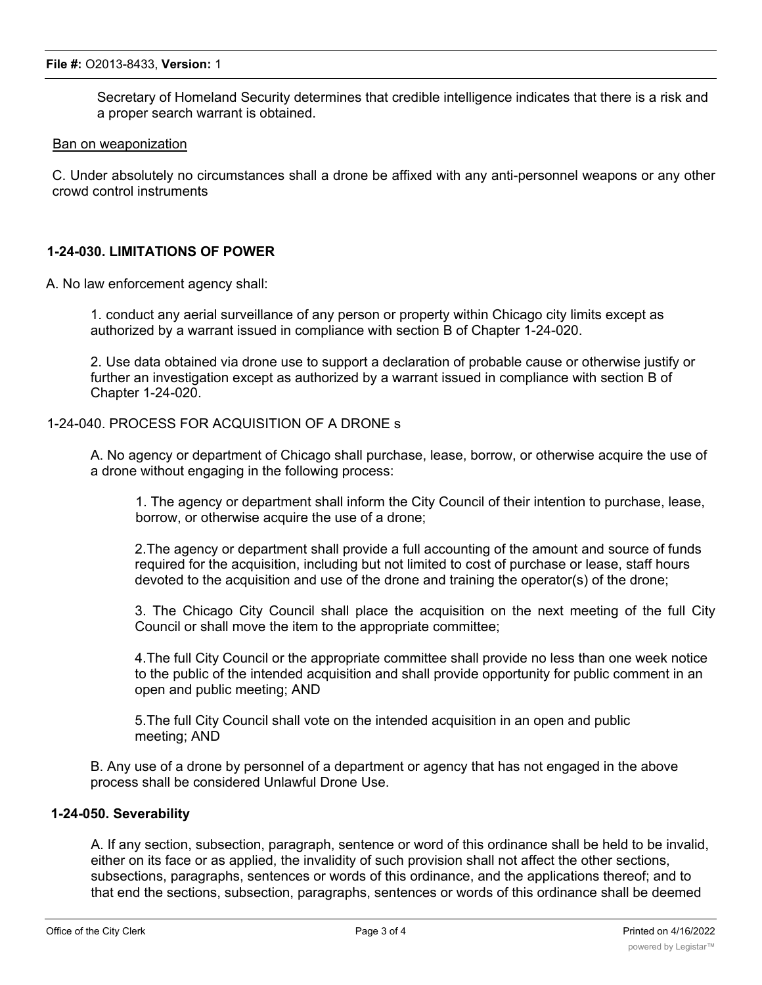Secretary of Homeland Security determines that credible intelligence indicates that there is a risk and a proper search warrant is obtained.

#### Ban on weaponization

C. Under absolutely no circumstances shall a drone be affixed with any anti-personnel weapons or any other crowd control instruments

## **1-24-030. LIMITATIONS OF POWER**

A. No law enforcement agency shall:

1. conduct any aerial surveillance of any person or property within Chicago city limits except as authorized by a warrant issued in compliance with section B of Chapter 1-24-020.

2. Use data obtained via drone use to support a declaration of probable cause or otherwise justify or further an investigation except as authorized by a warrant issued in compliance with section B of Chapter 1-24-020.

# 1-24-040. PROCESS FOR ACQUISITION OF A DRONE s

A. No agency or department of Chicago shall purchase, lease, borrow, or otherwise acquire the use of a drone without engaging in the following process:

1. The agency or department shall inform the City Council of their intention to purchase, lease, borrow, or otherwise acquire the use of a drone;

2.The agency or department shall provide a full accounting of the amount and source of funds required for the acquisition, including but not limited to cost of purchase or lease, staff hours devoted to the acquisition and use of the drone and training the operator(s) of the drone;

3. The Chicago City Council shall place the acquisition on the next meeting of the full City Council or shall move the item to the appropriate committee;

4.The full City Council or the appropriate committee shall provide no less than one week notice to the public of the intended acquisition and shall provide opportunity for public comment in an open and public meeting; AND

5.The full City Council shall vote on the intended acquisition in an open and public meeting; AND

B. Any use of a drone by personnel of a department or agency that has not engaged in the above process shall be considered Unlawful Drone Use.

## **1-24-050. Severability**

A. If any section, subsection, paragraph, sentence or word of this ordinance shall be held to be invalid, either on its face or as applied, the invalidity of such provision shall not affect the other sections, subsections, paragraphs, sentences or words of this ordinance, and the applications thereof; and to that end the sections, subsection, paragraphs, sentences or words of this ordinance shall be deemed